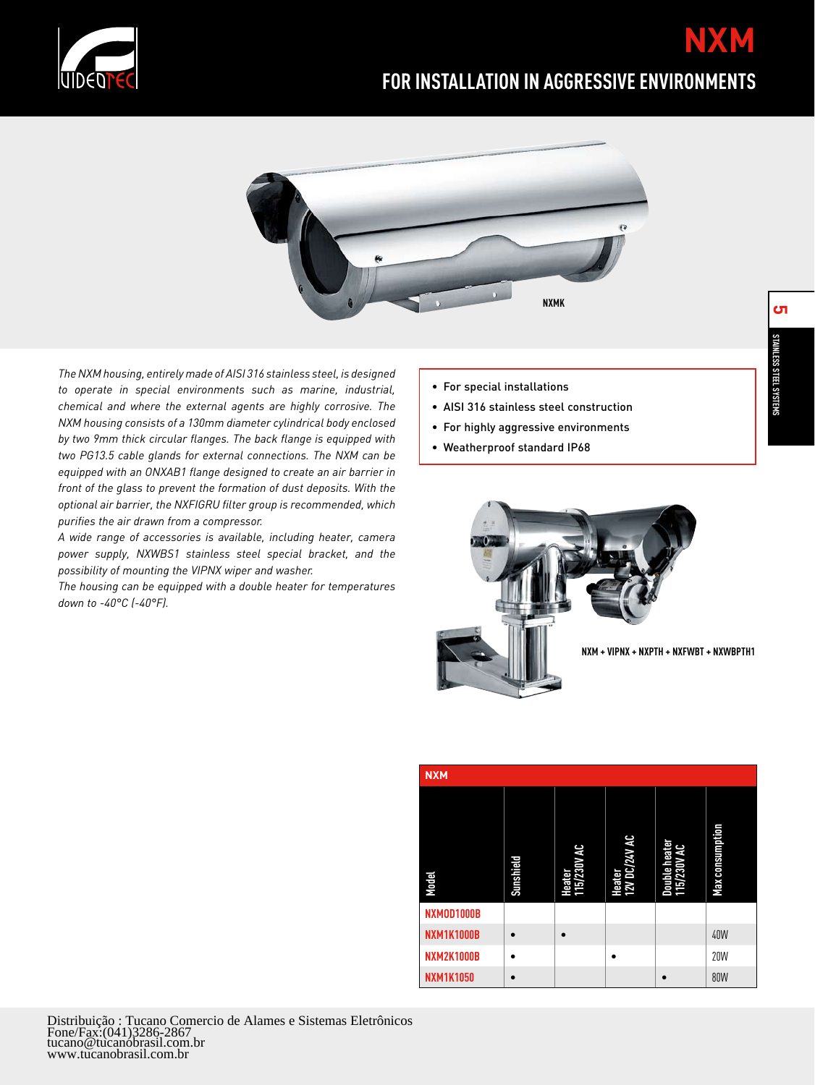

## **FOR INSTALLATION IN AGGRESSIVE ENVIRONMENTS**



*The NXM housing, entirely made of AISI 316 stainless steel, is designed to operate in special environments such as marine, industrial, chemical and where the external agents are highly corrosive. The NXM housing consists of a 130mm diameter cylindrical body enclosed by two 9mm thick circular flanges. The back flange is equipped with two PG13.5 cable glands for external connections. The NXM can be equipped with an ONXAB1 flange designed to create an air barrier in front of the glass to prevent the formation of dust deposits. With the optional air barrier, the NXFIGRU filter group is recommended, which purifies the air drawn from a compressor.*

*A wide range of accessories is available, including heater, camera power supply, NXWBS1 stainless steel special bracket, and the possibility of mounting the VIPNX wiper and washer.*

*The housing can be equipped with a double heater for temperatures down to -40°C (-40°F).*

- For special installations
- AISI 316 stainless steel construction
- For highly aggressive environments
- Weatherproof standard IP68



| <b>NXM</b>        |           |                       |                         |                              |                        |  |  |
|-------------------|-----------|-----------------------|-------------------------|------------------------------|------------------------|--|--|
| Model             | Sunshield | Heater<br>115/230V AC | Heater<br>12V DC/24V AC | Double heater<br>115/230V AC | <b>Max consumption</b> |  |  |
| NXMOD1000B        |           |                       |                         |                              |                        |  |  |
| <b>NXM1K1000B</b> | $\bullet$ |                       |                         |                              | 40W                    |  |  |
| <b>NXM2K1000B</b> |           |                       |                         |                              | <b>20W</b>             |  |  |
| <b>NXM1K1050</b>  | $\bullet$ |                       |                         |                              | <b>80W</b>             |  |  |

**NXM**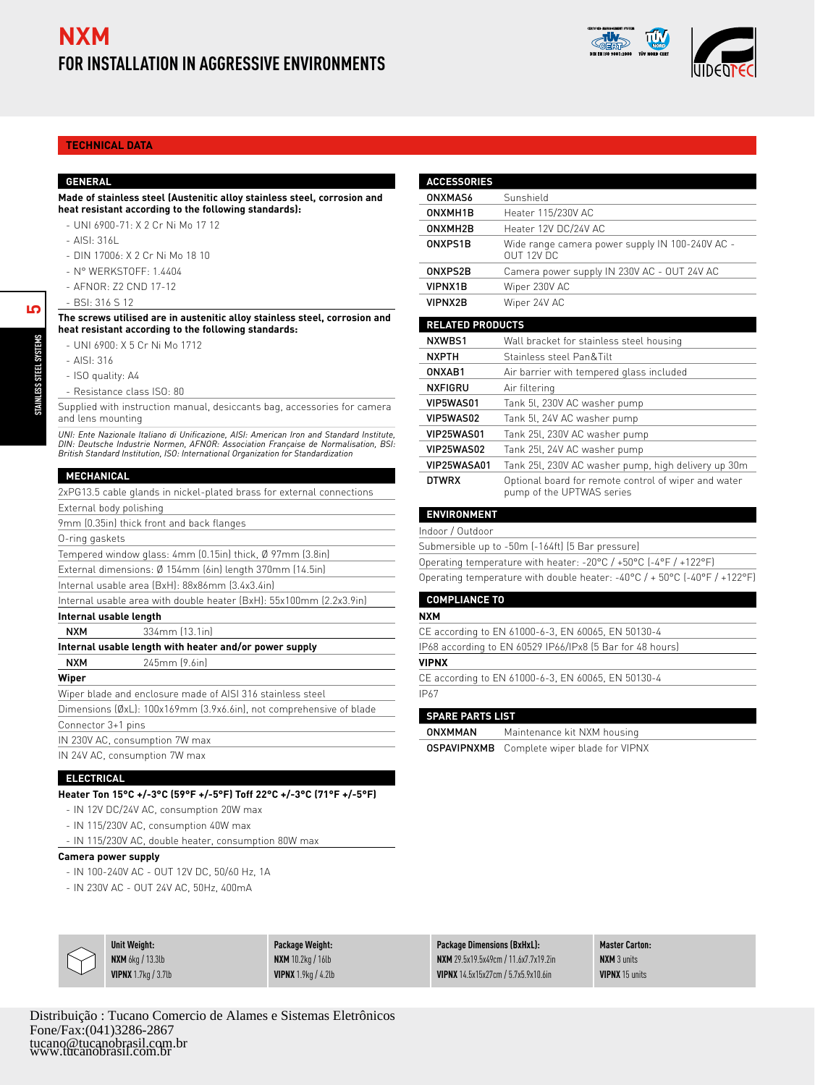



## **Technical Data**

#### **general**

#### **Made of stainless steel (Austenitic alloy stainless steel, corrosion and heat resistant according to the following standards):**

- UNI 6900-71: X 2 Cr Ni Mo 17 12 -
- AISI: 316L -
- DIN 17006: X 2 Cr Ni Mo 18 10 -
- N° WERKSTOFF: 1.4404 -
- AFNOR: Z2 CND 17-12 -
- BSI: 316 S 12 -

**The screws utilised are in austenitic alloy stainless steel, corrosion and heat resistant according to the following standards:**

- UNI 6900: X 5 Cr Ni Mo 1712 -
- AISI: 316 -
- ISO quality: A4
- Resistance class ISO: 80 -

Supplied with instruction manual, desiccants bag, accessories for camera and lens mounting

*UNI: Ente Nazionale Italiano di Unificazione, AISI: American Iron and Standard Institute, DIN: Deutsche Industrie Normen, AFNOR: Association Française de Normalisation, BSI: British Standard Institution, ISO: International Organization for Standardization*

#### **MECHANICAL**

| 2xPG13.5 cable glands in nickel-plated brass for external connections |  |  |  |  |  |  |
|-----------------------------------------------------------------------|--|--|--|--|--|--|
| External body polishing                                               |  |  |  |  |  |  |
| 9mm (0.35in) thick front and back flanges                             |  |  |  |  |  |  |
| 0-ring gaskets                                                        |  |  |  |  |  |  |
| Tempered window glass: 4mm (0.15in) thick, Ø 97mm (3.8in)             |  |  |  |  |  |  |
| External dimensions: Ø 154mm (6in) length 370mm (14.5in)              |  |  |  |  |  |  |
| Internal usable area (BxH): 88x86mm (3.4x3.4in)                       |  |  |  |  |  |  |
| Internal usable area with double heater (BxH): 55x100mm (2.2x3.9in)   |  |  |  |  |  |  |
| Internal usable length                                                |  |  |  |  |  |  |
| 334mm (13.1in)<br><b>NXM</b>                                          |  |  |  |  |  |  |
| Internal usable length with heater and/or power supply                |  |  |  |  |  |  |
| 245mm [9.6in]<br><b>NXM</b>                                           |  |  |  |  |  |  |
| Wiper                                                                 |  |  |  |  |  |  |
| Wiper blade and enclosure made of AISI 316 stainless steel            |  |  |  |  |  |  |
| Dimensions (ØxL): 100x169mm (3.9x6.6in), not comprehensive of blade   |  |  |  |  |  |  |
| Connector 3+1 pins                                                    |  |  |  |  |  |  |
| IN 230V AC, consumption 7W max                                        |  |  |  |  |  |  |
| IN 24V AC, consumption 7W max                                         |  |  |  |  |  |  |

## **ELECTRICAL**

**Heater Ton 15°C +/-3°C (59°F +/-5°F) Toff 22°C +/-3°C (71°F +/-5°F)**

- IN 12V DC/24V AC, consumption 20W max
- IN 115/230V AC, consumption 40W max
- IN 115/230V AC, double heater, consumption 80W max

#### **Camera power supply**

- IN 100-240V AC OUT 12V DC, 50/60 Hz, 1A
- IN 230V AC OUT 24V AC, 50Hz, 400mA

| <b>ACCESSORIES</b>      |                                                                                   |  |  |  |
|-------------------------|-----------------------------------------------------------------------------------|--|--|--|
| <b>ONXMAS6</b>          | Sunshield                                                                         |  |  |  |
| ONXMH1R                 | Heater 115/230V AC                                                                |  |  |  |
| ONXMH <sub>2</sub> B    | Heater 12V DC/24V AC                                                              |  |  |  |
| ONXPS1B                 | Wide range camera power supply IN 100-240V AC -<br>OUT 12V DC                     |  |  |  |
| ONXPS2B                 | Camera power supply IN 230V AC - OUT 24V AC                                       |  |  |  |
| VIPNX1B                 | Wiper 230V AC                                                                     |  |  |  |
| <b>VIPNX2B</b>          | Wiper 24V AC                                                                      |  |  |  |
| <b>RELATED PRODUCTS</b> |                                                                                   |  |  |  |
| NXWRS1                  | Wall bracket for stainless steel housing                                          |  |  |  |
| <b>NXPTH</b>            | Stainless steel Pan&Tilt                                                          |  |  |  |
| ONXAR1                  | Air barrier with tempered glass included                                          |  |  |  |
| <b>NXFIGRU</b>          | Air filtering                                                                     |  |  |  |
| VIP5WAS01               | Tank 5l, 230V AC washer pump                                                      |  |  |  |
| VIP5WAS02               | Tank 5l, 24V AC washer pump                                                       |  |  |  |
| VIP25WAS01              | Tank 251, 230V AC washer pump                                                     |  |  |  |
| VIP25WAS02              | Tank 25l, 24V AC washer pump                                                      |  |  |  |
| VIP25WASA01             | Tank 251, 230V AC washer pump, high delivery up 30m                               |  |  |  |
| <b>DTWRX</b>            | Optional board for remote control of wiper and water<br>pump of the UPTWAS series |  |  |  |
| <b>ENVIRONMENT</b>      |                                                                                   |  |  |  |
| Indoor / Outdoor        |                                                                                   |  |  |  |

Submersible up to -50m (-164ft) (5 Bar pressure) Operating temperature with heater: -20°C / +50°C (-4°F / +122°F)

Operating temperature with double heater: -40°C / + 50°C (-40°F / +122°F)

## **COMPLIANCE TO**

#### **NXM**

CE according to EN 61000-6-3, EN 60065, EN 50130-4 IP68 according to EN 60529 IP66/IPx8 (5 Bar for 48 hours)

### **VIPNX**

CE according to EN 61000-6-3, EN 60065, EN 50130-4 IP67

#### **SPARE PARTS LIST**

**ONXMMAN** Maintenance kit NXM housing

OSPAVIPNXMB Complete wiper blade for VIPNX

|  | <b>Unit Weight:</b>             | Package Weight:             | <b>Package Dimensions (BxHxL):</b>          | <b>Master Carton:</b> |
|--|---------------------------------|-----------------------------|---------------------------------------------|-----------------------|
|  | NXM 6ka / 13.3lb                | $NXM$ 10.2 $kg/16lb$        | <b>NXM</b> 29.5x19.5x49cm / 11.6x7.7x19.2in | <b>NXM</b> 3 units    |
|  | <b>VIPNX</b> $1.7$ kg $/3.7$ lb | <b>VIPNX</b> 1.9 $kg/4.2lb$ | VIPNX 14.5x15x27cm / 5.7x5.9x10.6in         | <b>VIPNX 15 units</b> |

<u>[</u>Ω

**STAINLESS STEEL SYSTEMS STEL**